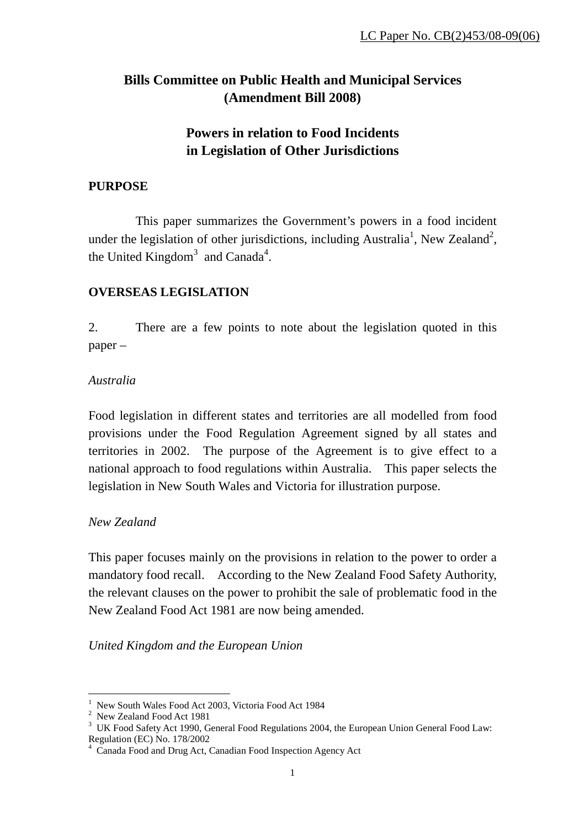# **Bills Committee on Public Health and Municipal Services (Amendment Bill 2008)**

# **Powers in relation to Food Incidents in Legislation of Other Jurisdictions**

# **PURPOSE**

 This paper summarizes the Government's powers in a food incident under the legislation of other jurisdictions, including Australia<sup>1</sup>, New Zealand<sup>2</sup>, the United Kingdom<sup>3</sup> and Canada<sup>4</sup>.

# **OVERSEAS LEGISLATION**

2. There are a few points to note about the legislation quoted in this paper –

## *Australia*

Food legislation in different states and territories are all modelled from food provisions under the Food Regulation Agreement signed by all states and territories in 2002. The purpose of the Agreement is to give effect to a national approach to food regulations within Australia. This paper selects the legislation in New South Wales and Victoria for illustration purpose.

## *New Zealand*

This paper focuses mainly on the provisions in relation to the power to order a mandatory food recall. According to the New Zealand Food Safety Authority, the relevant clauses on the power to prohibit the sale of problematic food in the New Zealand Food Act 1981 are now being amended.

*United Kingdom and the European Union*

 $\overline{a}$ <sup>1</sup> New South Wales Food Act 2003, Victoria Food Act 1984

<sup>&</sup>lt;sup>2</sup> New Zealand Food Act 1981

 $3 \,$  UK Food Safety Act 1990, General Food Regulations 2004, the European Union General Food Law: Regulation (EC) No. 178/2002

<sup>4</sup> Canada Food and Drug Act, Canadian Food Inspection Agency Act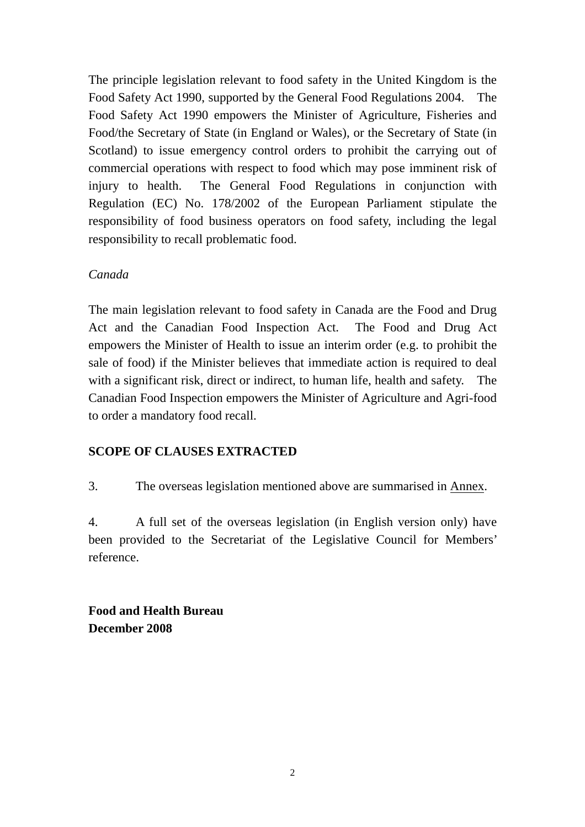The principle legislation relevant to food safety in the United Kingdom is the Food Safety Act 1990, supported by the General Food Regulations 2004. The Food Safety Act 1990 empowers the Minister of Agriculture, Fisheries and Food/the Secretary of State (in England or Wales), or the Secretary of State (in Scotland) to issue emergency control orders to prohibit the carrying out of commercial operations with respect to food which may pose imminent risk of injury to health. The General Food Regulations in conjunction with Regulation (EC) No. 178/2002 of the European Parliament stipulate the responsibility of food business operators on food safety, including the legal responsibility to recall problematic food.

#### *Canada*

The main legislation relevant to food safety in Canada are the Food and Drug Act and the Canadian Food Inspection Act. The Food and Drug Act empowers the Minister of Health to issue an interim order (e.g. to prohibit the sale of food) if the Minister believes that immediate action is required to deal with a significant risk, direct or indirect, to human life, health and safety. The Canadian Food Inspection empowers the Minister of Agriculture and Agri-food to order a mandatory food recall.

# **SCOPE OF CLAUSES EXTRACTED**

3. The overseas legislation mentioned above are summarised in Annex.

4. A full set of the overseas legislation (in English version only) have been provided to the Secretariat of the Legislative Council for Members' reference.

**Food and Health Bureau December 2008**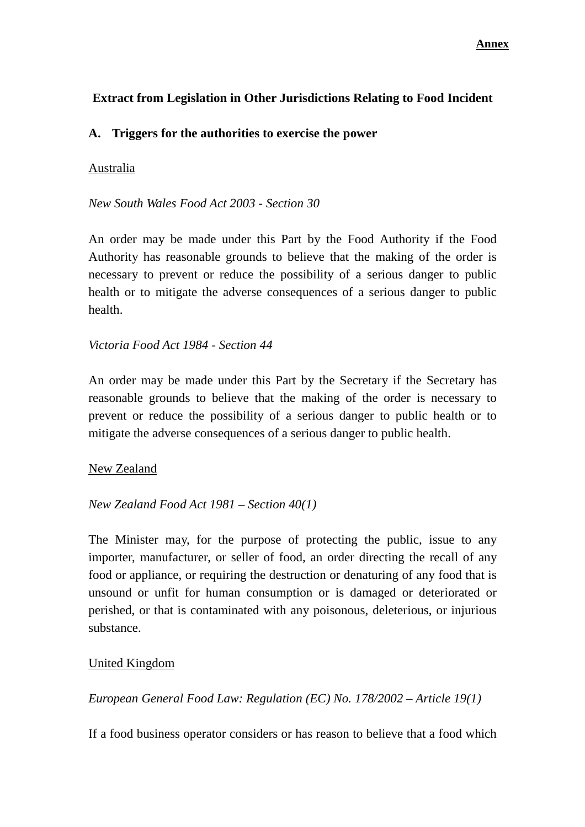# **Extract from Legislation in Other Jurisdictions Relating to Food Incident**

## **A. Triggers for the authorities to exercise the power**

#### Australia

*New South Wales Food Act 2003 - Section 30* 

An order may be made under this Part by the Food Authority if the Food Authority has reasonable grounds to believe that the making of the order is necessary to prevent or reduce the possibility of a serious danger to public health or to mitigate the adverse consequences of a serious danger to public health.

#### *Victoria Food Act 1984 - Section 44*

An order may be made under this Part by the Secretary if the Secretary has reasonable grounds to believe that the making of the order is necessary to prevent or reduce the possibility of a serious danger to public health or to mitigate the adverse consequences of a serious danger to public health.

#### New Zealand

#### *New Zealand Food Act 1981 – Section 40(1)*

The Minister may, for the purpose of protecting the public, issue to any importer, manufacturer, or seller of food, an order directing the recall of any food or appliance, or requiring the destruction or denaturing of any food that is unsound or unfit for human consumption or is damaged or deteriorated or perished, or that is contaminated with any poisonous, deleterious, or injurious substance.

## United Kingdom

*European General Food Law: Regulation (EC) No. 178/2002 – Article 19(1)* 

If a food business operator considers or has reason to believe that a food which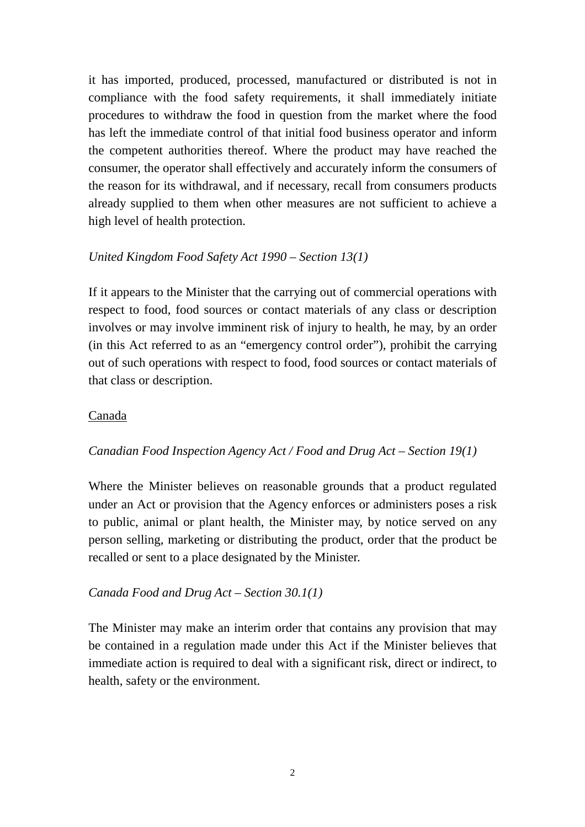it has imported, produced, processed, manufactured or distributed is not in compliance with the food safety requirements, it shall immediately initiate procedures to withdraw the food in question from the market where the food has left the immediate control of that initial food business operator and inform the competent authorities thereof. Where the product may have reached the consumer, the operator shall effectively and accurately inform the consumers of the reason for its withdrawal, and if necessary, recall from consumers products already supplied to them when other measures are not sufficient to achieve a high level of health protection.

## *United Kingdom Food Safety Act 1990 – Section 13(1)*

If it appears to the Minister that the carrying out of commercial operations with respect to food, food sources or contact materials of any class or description involves or may involve imminent risk of injury to health, he may, by an order (in this Act referred to as an "emergency control order"), prohibit the carrying out of such operations with respect to food, food sources or contact materials of that class or description.

## Canada

## *Canadian Food Inspection Agency Act / Food and Drug Act – Section 19(1)*

Where the Minister believes on reasonable grounds that a product regulated under an Act or provision that the Agency enforces or administers poses a risk to public, animal or plant health, the Minister may, by notice served on any person selling, marketing or distributing the product, order that the product be recalled or sent to a place designated by the Minister.

## *Canada Food and Drug Act – Section 30.1(1)*

The Minister may make an interim order that contains any provision that may be contained in a regulation made under this Act if the Minister believes that immediate action is required to deal with a significant risk, direct or indirect, to health, safety or the environment.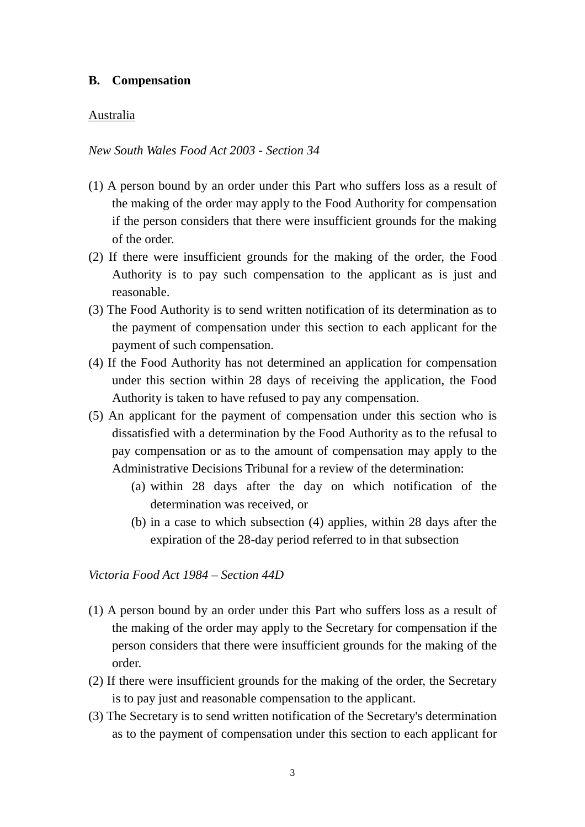#### **B. Compensation**

#### Australia

*New South Wales Food Act 2003 - Section 34* 

- (1) A person bound by an order under this Part who suffers loss as a result of the making of the order may apply to the Food Authority for compensation if the person considers that there were insufficient grounds for the making of the order.
- (2) If there were insufficient grounds for the making of the order, the Food Authority is to pay such compensation to the applicant as is just and reasonable.
- (3) The Food Authority is to send written notification of its determination as to the payment of compensation under this section to each applicant for the payment of such compensation.
- (4) If the Food Authority has not determined an application for compensation under this section within 28 days of receiving the application, the Food Authority is taken to have refused to pay any compensation.
- (5) An applicant for the payment of compensation under this section who is dissatisfied with a determination by the Food Authority as to the refusal to pay compensation or as to the amount of compensation may apply to the Administrative Decisions Tribunal for a review of the determination:
	- (a) within 28 days after the day on which notification of the determination was received, or
	- (b) in a case to which subsection (4) applies, within 28 days after the expiration of the 28-day period referred to in that subsection

*Victoria Food Act 1984 – Section 44D* 

- (1) A person bound by an order under this Part who suffers loss as a result of the making of the order may apply to the Secretary for compensation if the person considers that there were insufficient grounds for the making of the order.
- (2) If there were insufficient grounds for the making of the order, the Secretary is to pay just and reasonable compensation to the applicant.
- (3) The Secretary is to send written notification of the Secretary's determination as to the payment of compensation under this section to each applicant for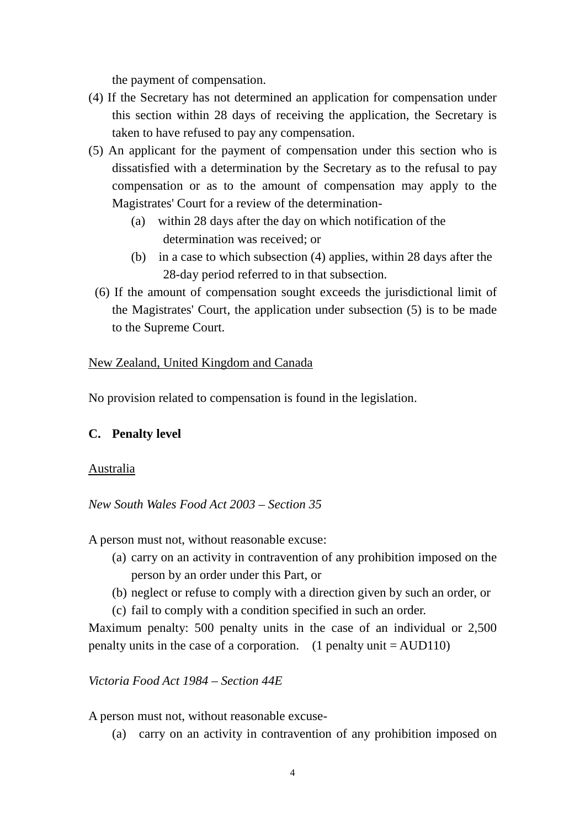the payment of compensation.

- (4) If the Secretary has not determined an application for compensation under this section within 28 days of receiving the application, the Secretary is taken to have refused to pay any compensation.
- (5) An applicant for the payment of compensation under this section who is dissatisfied with a determination by the Secretary as to the refusal to pay compensation or as to the amount of compensation may apply to the Magistrates' Court for a review of the determination-
	- (a) within 28 days after the day on which notification of the determination was received; or
	- (b) in a case to which subsection (4) applies, within 28 days after the 28-day period referred to in that subsection.
	- (6) If the amount of compensation sought exceeds the jurisdictional limit of the Magistrates' Court, the application under subsection (5) is to be made to the Supreme Court.

#### New Zealand, United Kingdom and Canada

No provision related to compensation is found in the legislation.

#### **C. Penalty level**

#### Australia

*New South Wales Food Act 2003 – Section 35* 

A person must not, without reasonable excuse:

- (a) carry on an activity in contravention of any prohibition imposed on the person by an order under this Part, or
- (b) neglect or refuse to comply with a direction given by such an order, or
- (c) fail to comply with a condition specified in such an order.

Maximum penalty: 500 penalty units in the case of an individual or 2,500 penalty units in the case of a corporation. (1 penalty unit  $=$  AUD110)

*Victoria Food Act 1984 – Section 44E* 

A person must not, without reasonable excuse-

(a) carry on an activity in contravention of any prohibition imposed on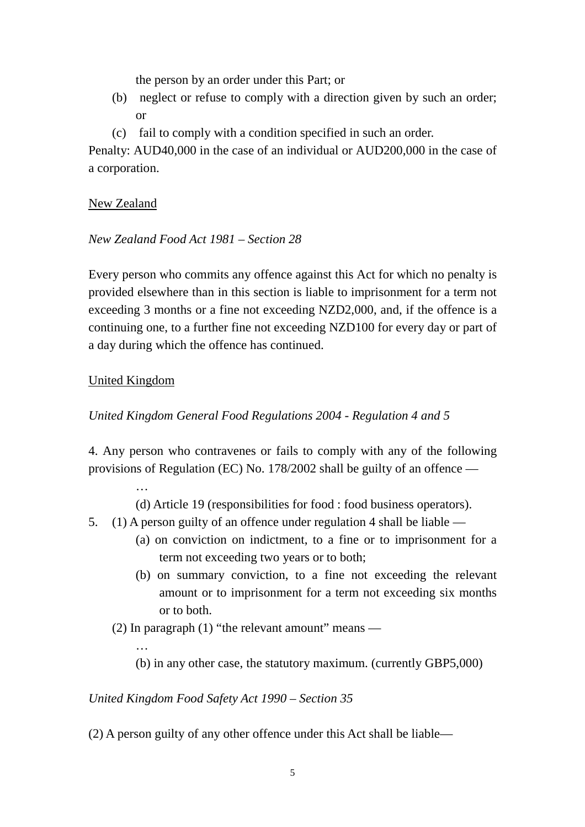the person by an order under this Part; or

- (b) neglect or refuse to comply with a direction given by such an order; or
- (c) fail to comply with a condition specified in such an order.

Penalty: AUD40,000 in the case of an individual or AUD200,000 in the case of a corporation.

## New Zealand

#### *New Zealand Food Act 1981 – Section 28*

Every person who commits any offence against this Act for which no penalty is provided elsewhere than in this section is liable to imprisonment for a term not exceeding 3 months or a fine not exceeding NZD2,000, and, if the offence is a continuing one, to a further fine not exceeding NZD100 for every day or part of a day during which the offence has continued.

## United Kingdom

…

…

### *United Kingdom General Food Regulations 2004 - Regulation 4 and 5*

4. Any person who contravenes or fails to comply with any of the following provisions of Regulation (EC) No. 178/2002 shall be guilty of an offence —

(d) Article 19 (responsibilities for food : food business operators).

- 5. (1) A person guilty of an offence under regulation 4 shall be liable
	- (a) on conviction on indictment, to a fine or to imprisonment for a term not exceeding two years or to both;
	- (b) on summary conviction, to a fine not exceeding the relevant amount or to imprisonment for a term not exceeding six months or to both.
	- (2) In paragraph  $(1)$  "the relevant amount" means
		- (b) in any other case, the statutory maximum. (currently GBP5,000)

#### *United Kingdom Food Safety Act 1990 – Section 35*

(2) A person guilty of any other offence under this Act shall be liable—